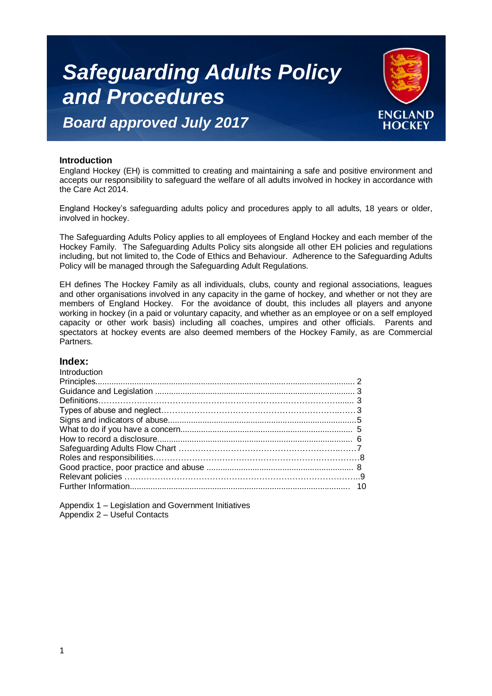# *Safeguarding Adults Policy and Procedures*

**ENGLAND HOCKEY** 

*Board approved July 2017*

# **Introduction**

England Hockey (EH) is committed to creating and maintaining a safe and positive environment and accepts our responsibility to safeguard the welfare of all adults involved in hockey in accordance with the Care Act 2014.

England Hockey's safeguarding adults policy and procedures apply to all adults, 18 years or older, involved in hockey.

The Safeguarding Adults Policy applies to all employees of England Hockey and each member of the Hockey Family. The Safeguarding Adults Policy sits alongside all other EH policies and regulations including, but not limited to, the Code of Ethics and Behaviour. Adherence to the Safeguarding Adults Policy will be managed through the Safeguarding Adult Regulations.

EH defines The Hockey Family as all individuals, clubs, county and regional associations, leagues and other organisations involved in any capacity in the game of hockey, and whether or not they are members of England Hockey. For the avoidance of doubt, this includes all players and anyone working in hockey (in a paid or voluntary capacity, and whether as an employee or on a self employed capacity or other work basis) including all coaches, umpires and other officials. Parents and spectators at hockey events are also deemed members of the Hockey Family, as are Commercial Partners.

# **Index:**

| Introduction |     |
|--------------|-----|
|              |     |
|              |     |
|              |     |
|              |     |
|              |     |
|              |     |
|              |     |
|              |     |
|              |     |
|              |     |
|              |     |
|              | -10 |
|              |     |

Appendix 1 – Legislation and Government Initiatives Appendix 2 – Useful Contacts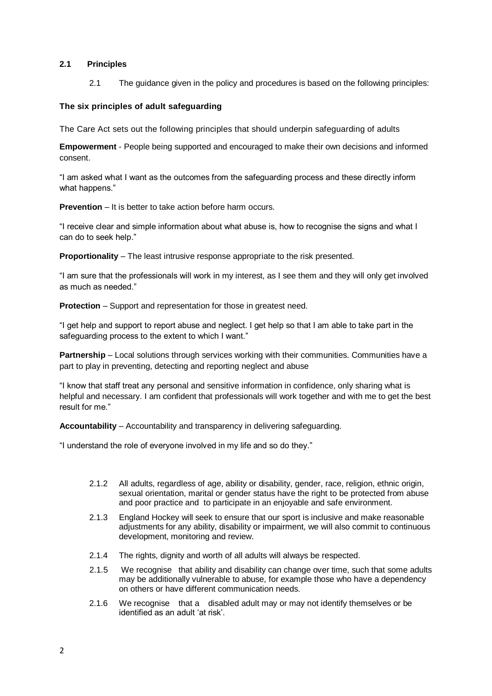# **2.1 Principles**

2.1 The guidance given in the policy and procedures is based on the following principles:

#### **The six principles of adult safeguarding**

The Care Act sets out the following principles that should underpin safeguarding of adults

**Empowerment** - People being supported and encouraged to make their own decisions and informed consent.

"I am asked what I want as the outcomes from the safeguarding process and these directly inform what happens."

**Prevention** – It is better to take action before harm occurs.

"I receive clear and simple information about what abuse is, how to recognise the signs and what I can do to seek help."

**Proportionality** – The least intrusive response appropriate to the risk presented.

"I am sure that the professionals will work in my interest, as I see them and they will only get involved as much as needed."

**Protection** – Support and representation for those in greatest need.

"I get help and support to report abuse and neglect. I get help so that I am able to take part in the safeguarding process to the extent to which I want."

**Partnership** – Local solutions through services working with their communities. Communities have a part to play in preventing, detecting and reporting neglect and abuse

"I know that staff treat any personal and sensitive information in confidence, only sharing what is helpful and necessary. I am confident that professionals will work together and with me to get the best result for me."

**Accountability** – Accountability and transparency in delivering safeguarding.

"I understand the role of everyone involved in my life and so do they."

- 2.1.2 All adults, regardless of age, ability or disability, gender, race, religion, ethnic origin, sexual orientation, marital or gender status have the right to be protected from abuse and poor practice and to participate in an enjoyable and safe environment.
- 2.1.3 England Hockey will seek to ensure that our sport is inclusive and make reasonable adjustments for any ability, disability or impairment, we will also commit to continuous development, monitoring and review.
- 2.1.4 The rights, dignity and worth of all adults will always be respected.
- 2.1.5 We recognise that ability and disability can change over time, such that some adults may be additionally vulnerable to abuse, for example those who have a dependency on others or have different communication needs.
- 2.1.6 We recognise that a disabled adult may or may not identify themselves or be identified as an adult 'at risk'.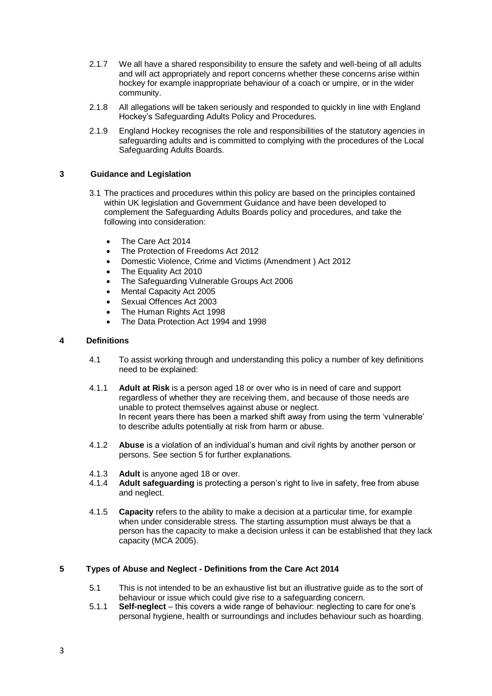- 2.1.7 We all have a shared responsibility to ensure the safety and well-being of all adults and will act appropriately and report concerns whether these concerns arise within hockey for example inappropriate behaviour of a coach or umpire, or in the wider community.
- 2.1.8 All allegations will be taken seriously and responded to quickly in line with England Hockey's Safeguarding Adults Policy and Procedures.
- 2.1.9 England Hockey recognises the role and responsibilities of the statutory agencies in safeguarding adults and is committed to complying with the procedures of the Local Safeguarding Adults Boards.

# **3 Guidance and Legislation**

- 3.1 The practices and procedures within this policy are based on the principles contained within UK legislation and Government Guidance and have been developed to complement the Safeguarding Adults Boards policy and procedures, and take the following into consideration:
	- The Care Act 2014
	- The Protection of Freedoms Act 2012
	- Domestic Violence, Crime and Victims (Amendment ) Act 2012
	- The Equality Act 2010
	- The Safeguarding Vulnerable Groups Act 2006
	- Mental Capacity Act 2005
	- Sexual Offences Act 2003
	- The Human Rights Act 1998
	- The Data Protection Act 1994 and 1998

# **4 Definitions**

- 4.1 To assist working through and understanding this policy a number of key definitions need to be explained:
- 4.1.1 **Adult at Risk** is a person aged 18 or over who is in need of care and support regardless of whether they are receiving them, and because of those needs are unable to protect themselves against abuse or neglect. In recent years there has been a marked shift away from using the term 'vulnerable' to describe adults potentially at risk from harm or abuse.
- 4.1.2 **Abuse** is a violation of an individual's human and civil rights by another person or persons. See section 5 for further explanations.
- 4.1.3 **Adult** is anyone aged 18 or over.
- 4.1.4 **Adult safeguarding** is protecting a person's right to live in safety, free from abuse and neglect.
- 4.1.5 **Capacity** refers to the ability to make a decision at a particular time, for example when under considerable stress. The starting assumption must always be that a person has the capacity to make a decision unless it can be established that they lack capacity (MCA 2005).

# **5 Types of Abuse and Neglect - Definitions from the Care Act 2014**

- 5.1 This is not intended to be an exhaustive list but an illustrative guide as to the sort of behaviour or issue which could give rise to a safeguarding concern.
- 5.1.1 **Self-neglect** this covers a wide range of behaviour: neglecting to care for one's personal hygiene, health or surroundings and includes behaviour such as hoarding.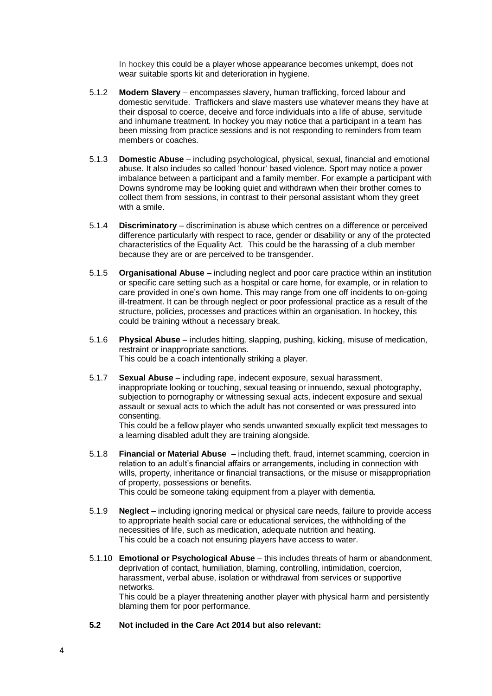In hockey this could be a player whose appearance becomes unkempt, does not wear suitable sports kit and deterioration in hygiene.

- 5.1.2 **Modern Slavery** encompasses slavery, human trafficking, forced labour and domestic servitude. Traffickers and slave masters use whatever means they have at their disposal to coerce, deceive and force individuals into a life of abuse, servitude and inhumane treatment. In hockey you may notice that a participant in a team has been missing from practice sessions and is not responding to reminders from team members or coaches.
- 5.1.3 **Domestic Abuse**  including psychological, physical, sexual, financial and emotional abuse. It also includes so called 'honour' based violence. Sport may notice a power imbalance between a participant and a family member. For example a participant with Downs syndrome may be looking quiet and withdrawn when their brother comes to collect them from sessions, in contrast to their personal assistant whom they greet with a smile.
- 5.1.4 **Discriminatory**  discrimination is abuse which centres on a difference or perceived difference particularly with respect to race, gender or disability or any of the protected characteristics of the Equality Act. This could be the harassing of a club member because they are or are perceived to be transgender.
- 5.1.5 **Organisational Abuse** including neglect and poor care practice within an institution or specific care setting such as a hospital or care home, for example, or in relation to care provided in one's own home. This may range from one off incidents to on-going ill-treatment. It can be through neglect or poor professional practice as a result of the structure, policies, processes and practices within an organisation. In hockey, this could be training without a necessary break.
- 5.1.6 **Physical Abuse**  includes hitting, slapping, pushing, kicking, misuse of medication, restraint or inappropriate sanctions. This could be a coach intentionally striking a player.
- 5.1.7 **Sexual Abuse**  including rape, indecent exposure, sexual harassment, inappropriate looking or touching, sexual teasing or innuendo, sexual photography, subjection to pornography or witnessing sexual acts, indecent exposure and sexual assault or sexual acts to which the adult has not consented or was pressured into consenting.

This could be a fellow player who sends unwanted sexually explicit text messages to a learning disabled adult they are training alongside.

5.1.8 **Financial or Material Abuse** – including theft, fraud, internet scamming, coercion in relation to an adult's financial affairs or arrangements, including in connection with wills, property, inheritance or financial transactions, or the misuse or misappropriation of property, possessions or benefits.

This could be someone taking equipment from a player with dementia.

- 5.1.9 **Neglect**  including ignoring medical or physical care needs, failure to provide access to appropriate health social care or educational services, the withholding of the necessities of life, such as medication, adequate nutrition and heating. This could be a coach not ensuring players have access to water.
- 5.1.10 **Emotional or Psychological Abuse**  this includes threats of harm or abandonment, deprivation of contact, humiliation, blaming, controlling, intimidation, coercion, harassment, verbal abuse, isolation or withdrawal from services or supportive networks. This could be a player threatening another player with physical harm and persistently

blaming them for poor performance.

**5.2 Not included in the Care Act 2014 but also relevant:**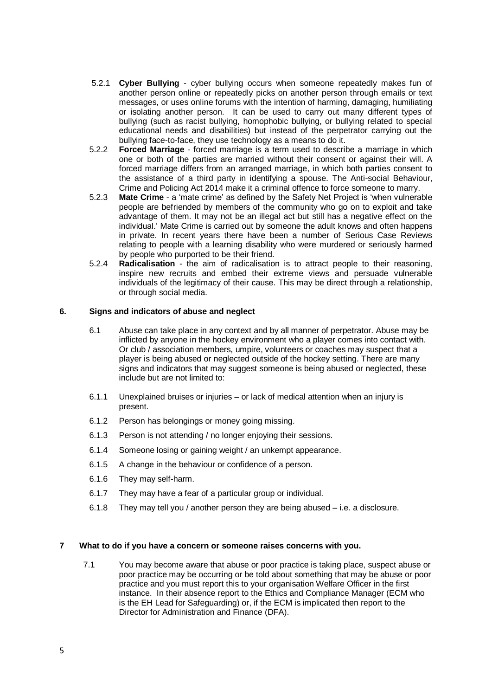- 5.2.1 **Cyber Bullying**  cyber bullying occurs when someone repeatedly makes fun of another person online or repeatedly picks on another person through emails or text messages, or uses online forums with the intention of harming, damaging, humiliating or isolating another person. It can be used to carry out many different types of bullying (such as racist bullying, homophobic bullying, or bullying related to special educational needs and disabilities) but instead of the perpetrator carrying out the bullying face-to-face, they use technology as a means to do it.
- 5.2.2 **Forced Marriage** forced marriage is a term used to describe a marriage in which one or both of the parties are married without their consent or against their will. A forced marriage differs from an arranged marriage, in which both parties consent to the assistance of a third party in identifying a spouse. The Anti-social Behaviour, Crime and Policing Act 2014 make it a criminal offence to force someone to marry.
- 5.2.3 **Mate Crime** a 'mate crime' as defined by the Safety Net Project is 'when vulnerable people are befriended by members of the community who go on to exploit and take advantage of them. It may not be an illegal act but still has a negative effect on the individual.' Mate Crime is carried out by someone the adult knows and often happens in private. In recent years there have been a number of Serious Case Reviews relating to people with a learning disability who were murdered or seriously harmed by people who purported to be their friend.
- 5.2.4 **Radicalisation** the aim of radicalisation is to attract people to their reasoning, inspire new recruits and embed their extreme views and persuade vulnerable individuals of the legitimacy of their cause. This may be direct through a relationship, or through social media.

# **6. Signs and indicators of abuse and neglect**

- 6.1 Abuse can take place in any context and by all manner of perpetrator. Abuse may be inflicted by anyone in the hockey environment who a player comes into contact with. Or club / association members, umpire, volunteers or coaches may suspect that a player is being abused or neglected outside of the hockey setting. There are many signs and indicators that may suggest someone is being abused or neglected, these include but are not limited to:
- 6.1.1 Unexplained bruises or injuries or lack of medical attention when an injury is present.
- 6.1.2 Person has belongings or money going missing.
- 6.1.3 Person is not attending / no longer enjoying their sessions.
- 6.1.4 Someone losing or gaining weight / an unkempt appearance.
- 6.1.5 A change in the behaviour or confidence of a person.
- 6.1.6 They may self-harm.
- 6.1.7 They may have a fear of a particular group or individual.
- 6.1.8 They may tell you / another person they are being abused i.e. a disclosure.

# **7 What to do if you have a concern or someone raises concerns with you.**

7.1 You may become aware that abuse or poor practice is taking place, suspect abuse or poor practice may be occurring or be told about something that may be abuse or poor practice and you must report this to your organisation Welfare Officer in the first instance. In their absence report to the Ethics and Compliance Manager (ECM who is the EH Lead for Safeguarding) or, if the ECM is implicated then report to the Director for Administration and Finance (DFA).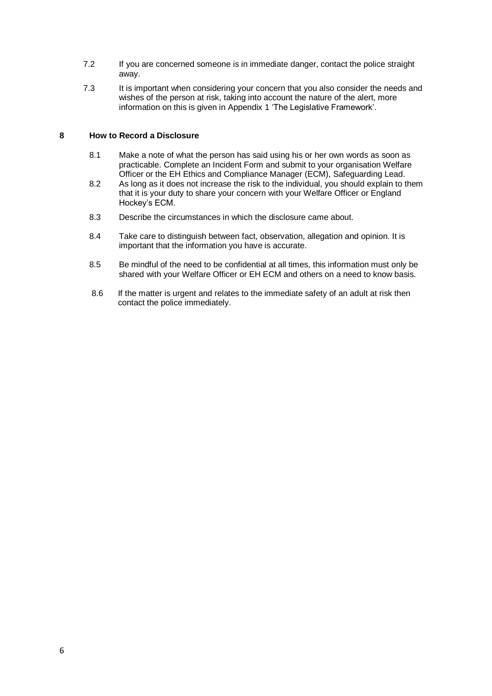- 7.2 If you are concerned someone is in immediate danger, contact the police straight away.
- 7.3 It is important when considering your concern that you also consider the needs and wishes of the person at risk, taking into account the nature of the alert, more information on this is given in Appendix 1 'The Legislative Framework'.

#### **8 How to Record a Disclosure**

- 8.1 Make a note of what the person has said using his or her own words as soon as practicable. Complete an Incident Form and submit to your organisation Welfare Officer or the EH Ethics and Compliance Manager (ECM), Safeguarding Lead.
- 8.2 As long as it does not increase the risk to the individual, you should explain to them that it is your duty to share your concern with your Welfare Officer or England Hockey's ECM.
- 8.3 Describe the circumstances in which the disclosure came about.
- 8.4 Take care to distinguish between fact, observation, allegation and opinion. It is important that the information you have is accurate.
- 8.5 Be mindful of the need to be confidential at all times, this information must only be shared with your Welfare Officer or EH ECM and others on a need to know basis.
- 8.6 If the matter is urgent and relates to the immediate safety of an adult at risk then contact the police immediately.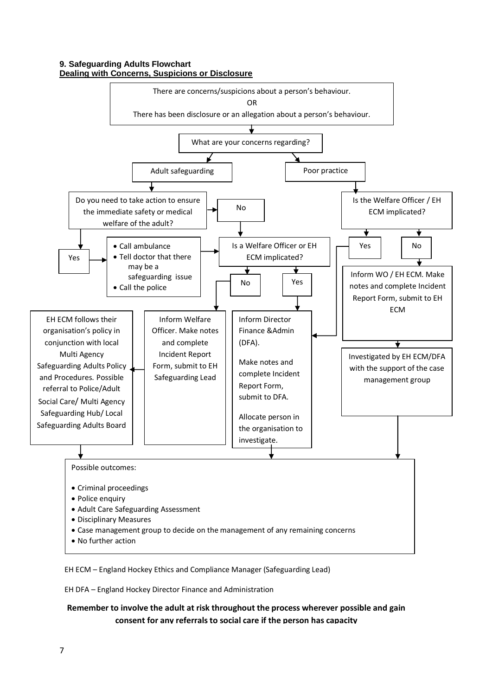# **9. Safeguarding Adults Flowchart Dealing with Concerns, Suspicions or Disclosure**



EH ECM – England Hockey Ethics and Compliance Manager (Safeguarding Lead)

EH DFA – England Hockey Director Finance and Administration

# **Remember to involve the adult at risk throughout the process wherever possible and gain consent for any referrals to social care if the person has capacity**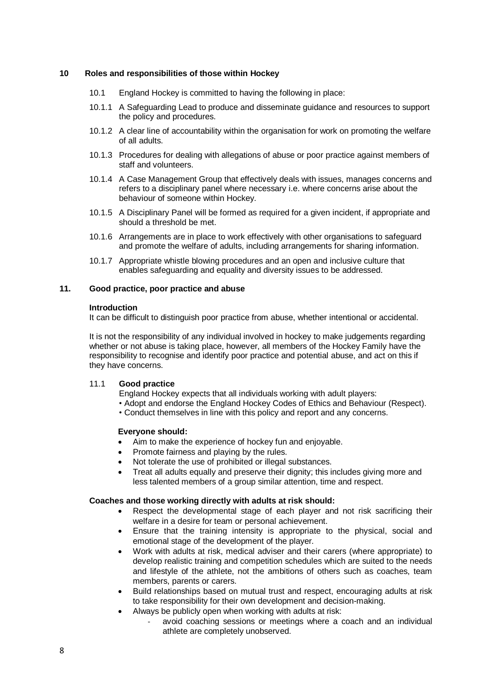#### **10 Roles and responsibilities of those within Hockey**

- 10.1 England Hockey is committed to having the following in place:
- 10.1.1 A Safeguarding Lead to produce and disseminate guidance and resources to support the policy and procedures.
- 10.1.2 A clear line of accountability within the organisation for work on promoting the welfare of all adults.
- 10.1.3 Procedures for dealing with allegations of abuse or poor practice against members of staff and volunteers.
- 10.1.4 A Case Management Group that effectively deals with issues, manages concerns and refers to a disciplinary panel where necessary i.e. where concerns arise about the behaviour of someone within Hockey.
- 10.1.5 A Disciplinary Panel will be formed as required for a given incident, if appropriate and should a threshold be met.
- 10.1.6 Arrangements are in place to work effectively with other organisations to safeguard and promote the welfare of adults, including arrangements for sharing information.
- 10.1.7 Appropriate whistle blowing procedures and an open and inclusive culture that enables safeguarding and equality and diversity issues to be addressed.

# **11. Good practice, poor practice and abuse**

#### **Introduction**

It can be difficult to distinguish poor practice from abuse, whether intentional or accidental.

It is not the responsibility of any individual involved in hockey to make judgements regarding whether or not abuse is taking place, however, all members of the Hockey Family have the responsibility to recognise and identify poor practice and potential abuse, and act on this if they have concerns.

#### 11.1 **Good practice**

England Hockey expects that all individuals working with adult players:

- Adopt and endorse the England Hockey Codes of Ethics and Behaviour (Respect).
- Conduct themselves in line with this policy and report and any concerns.

#### **Everyone should:**

- Aim to make the experience of hockey fun and enjoyable.
- Promote fairness and playing by the rules.
- Not tolerate the use of prohibited or illegal substances.
- Treat all adults equally and preserve their dignity; this includes giving more and less talented members of a group similar attention, time and respect.

#### **Coaches and those working directly with adults at risk should:**

- Respect the developmental stage of each player and not risk sacrificing their welfare in a desire for team or personal achievement.
- Ensure that the training intensity is appropriate to the physical, social and emotional stage of the development of the player.
- Work with adults at risk, medical adviser and their carers (where appropriate) to develop realistic training and competition schedules which are suited to the needs and lifestyle of the athlete, not the ambitions of others such as coaches, team members, parents or carers.
- Build relationships based on mutual trust and respect, encouraging adults at risk to take responsibility for their own development and decision-making.
- Always be publicly open when working with adults at risk:
	- avoid coaching sessions or meetings where a coach and an individual athlete are completely unobserved.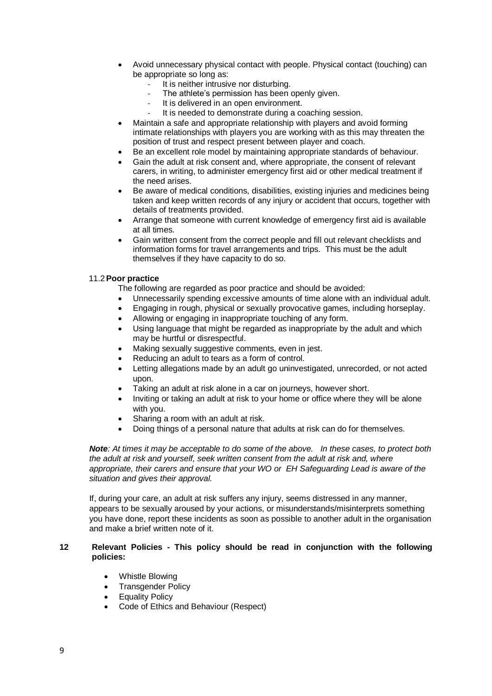- Avoid unnecessary physical contact with people. Physical contact (touching) can be appropriate so long as:
	- It is neither intrusive nor disturbing.
	- The athlete's permission has been openly given.
	- It is delivered in an open environment.
	- It is needed to demonstrate during a coaching session.
- Maintain a safe and appropriate relationship with players and avoid forming intimate relationships with players you are working with as this may threaten the position of trust and respect present between player and coach.
- Be an excellent role model by maintaining appropriate standards of behaviour.
- Gain the adult at risk consent and, where appropriate, the consent of relevant carers, in writing, to administer emergency first aid or other medical treatment if the need arises.
- Be aware of medical conditions, disabilities, existing injuries and medicines being taken and keep written records of any injury or accident that occurs, together with details of treatments provided.
- Arrange that someone with current knowledge of emergency first aid is available at all times.
- Gain written consent from the correct people and fill out relevant checklists and information forms for travel arrangements and trips. This must be the adult themselves if they have capacity to do so.

#### 11.2**Poor practice**

The following are regarded as poor practice and should be avoided:

- Unnecessarily spending excessive amounts of time alone with an individual adult.
- Engaging in rough, physical or sexually provocative games, including horseplay.
- Allowing or engaging in inappropriate touching of any form.
- Using language that might be regarded as inappropriate by the adult and which may be hurtful or disrespectful.
- Making sexually suggestive comments, even in jest.
- Reducing an adult to tears as a form of control.
- Letting allegations made by an adult go uninvestigated, unrecorded, or not acted upon.
- Taking an adult at risk alone in a car on journeys, however short.
- Inviting or taking an adult at risk to your home or office where they will be alone with you.
- Sharing a room with an adult at risk.
- Doing things of a personal nature that adults at risk can do for themselves.

*Note: At times it may be acceptable to do some of the above. In these cases, to protect both the adult at risk and yourself, seek written consent from the adult at risk and, where appropriate, their carers and ensure that your WO or EH Safeguarding Lead is aware of the situation and gives their approval.* 

If, during your care, an adult at risk suffers any injury, seems distressed in any manner, appears to be sexually aroused by your actions, or misunderstands/misinterprets something you have done, report these incidents as soon as possible to another adult in the organisation and make a brief written note of it.

# **12 Relevant Policies - This policy should be read in conjunction with the following policies:**

- Whistle Blowing
- Transgender Policy
- Equality Policy
- Code of Ethics and Behaviour (Respect)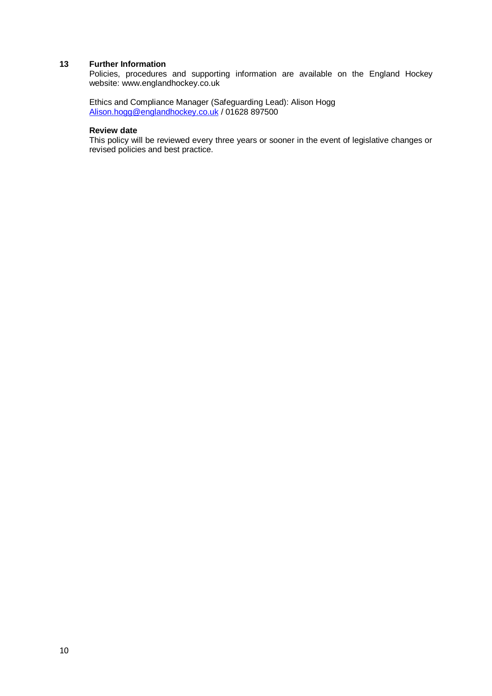# **13 Further Information**

Policies, procedures and supporting information are available on the England Hockey website: www.englandhockey.co.uk

Ethics and Compliance Manager (Safeguarding Lead): Alison Hogg [Alison.hogg@englandhockey.co.uk](mailto:Alison.hogg@englandhockey.co.uk) / 01628 897500

#### **Review date**

This policy will be reviewed every three years or sooner in the event of legislative changes or revised policies and best practice.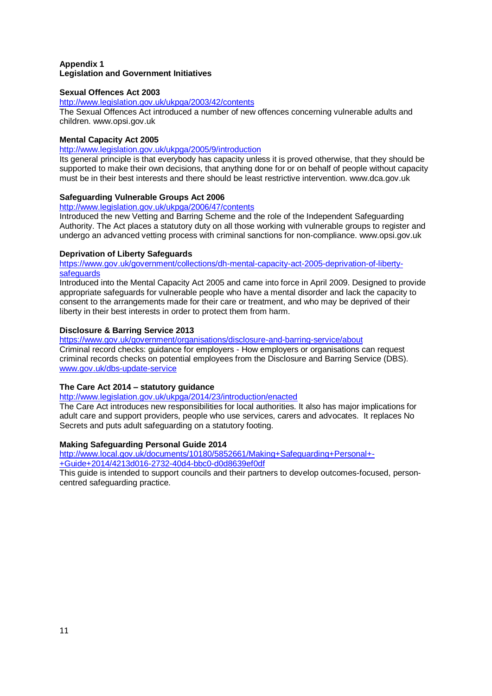#### **Appendix 1 Legislation and Government Initiatives**

#### **Sexual Offences Act 2003**

<http://www.legislation.gov.uk/ukpga/2003/42/contents>

The Sexual Offences Act introduced a number of new offences concerning vulnerable adults and children. www.opsi.gov.uk

# **Mental Capacity Act 2005**

<http://www.legislation.gov.uk/ukpga/2005/9/introduction>

Its general principle is that everybody has capacity unless it is proved otherwise, that they should be supported to make their own decisions, that anything done for or on behalf of people without capacity must be in their best interests and there should be least restrictive intervention. www.dca.gov.uk

#### **Safeguarding Vulnerable Groups Act 2006**

#### <http://www.legislation.gov.uk/ukpga/2006/47/contents>

Introduced the new Vetting and Barring Scheme and the role of the Independent Safeguarding Authority. The Act places a statutory duty on all those working with vulnerable groups to register and undergo an advanced vetting process with criminal sanctions for non-compliance. www.opsi.gov.uk

#### **Deprivation of Liberty Safeguards**

[https://www.gov.uk/government/collections/dh-mental-capacity-act-2005-deprivation-of-liberty](https://www.gov.uk/government/collections/dh-mental-capacity-act-2005-deprivation-of-liberty-safeguards)[safeguards](https://www.gov.uk/government/collections/dh-mental-capacity-act-2005-deprivation-of-liberty-safeguards)

Introduced into the Mental Capacity Act 2005 and came into force in April 2009. Designed to provide appropriate safeguards for vulnerable people who have a mental disorder and lack the capacity to consent to the arrangements made for their care or treatment, and who may be deprived of their liberty in their best interests in order to protect them from harm.

# **Disclosure & Barring Service 2013**

<https://www.gov.uk/government/organisations/disclosure-and-barring-service/about> Criminal record checks: guidance for employers - How employers or organisations can request criminal records checks on potential employees from the Disclosure and Barring Service (DBS). [www.gov.uk/dbs-update-service](http://www.gov.uk/dbs-update-service)

# **The Care Act 2014 – statutory guidance**

<http://www.legislation.gov.uk/ukpga/2014/23/introduction/enacted>

The Care Act introduces new responsibilities for local authorities. It also has major implications for adult care and support providers, people who use services, carers and advocates. It replaces No Secrets and puts adult safeguarding on a statutory footing.

# **Making Safeguarding Personal Guide 2014**

[http://www.local.gov.uk/documents/10180/5852661/Making+Safeguarding+Personal+-](http://www.local.gov.uk/documents/10180/5852661/Making+Safeguarding+Personal+-+Guide+2014/4213d016-2732-40d4-bbc0-d0d8639ef0df) [+Guide+2014/4213d016-2732-40d4-bbc0-d0d8639ef0df](http://www.local.gov.uk/documents/10180/5852661/Making+Safeguarding+Personal+-+Guide+2014/4213d016-2732-40d4-bbc0-d0d8639ef0df)

This guide is intended to support councils and their partners to develop outcomes-focused, personcentred safeguarding practice.